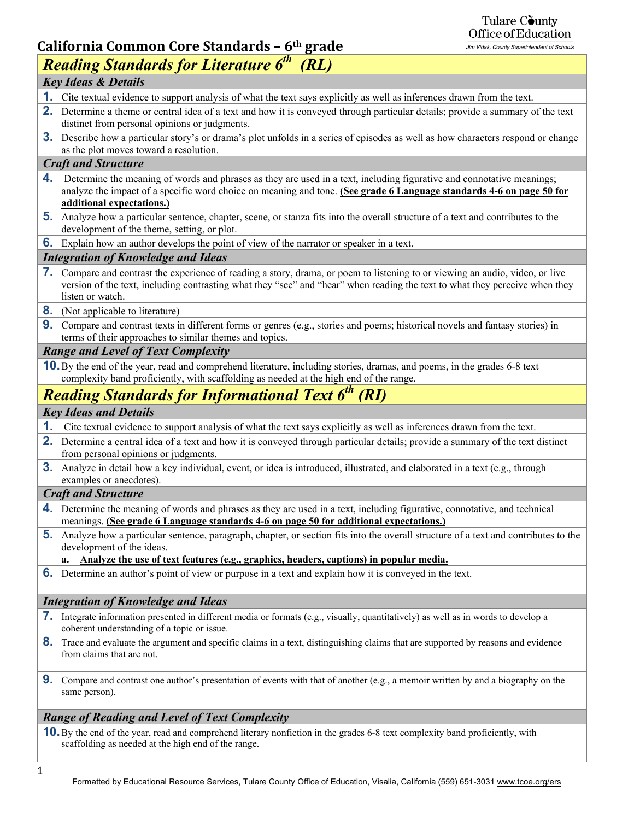# Tulare County<br>Office of Education

## **California Common Core Standards – 6th grade**

| 5.000                                                                                                                                                                                                                                                                            |  |  |  |  |  |
|----------------------------------------------------------------------------------------------------------------------------------------------------------------------------------------------------------------------------------------------------------------------------------|--|--|--|--|--|
| <b>Reading Standards for Literature 6th</b><br>(RL)                                                                                                                                                                                                                              |  |  |  |  |  |
| <b>Key Ideas &amp; Details</b>                                                                                                                                                                                                                                                   |  |  |  |  |  |
| 1. Cite textual evidence to support analysis of what the text says explicitly as well as inferences drawn from the text.                                                                                                                                                         |  |  |  |  |  |
| 2. Determine a theme or central idea of a text and how it is conveyed through particular details; provide a summary of the text<br>distinct from personal opinions or judgments.                                                                                                 |  |  |  |  |  |
| <b>3.</b> Describe how a particular story's or drama's plot unfolds in a series of episodes as well as how characters respond or change<br>as the plot moves toward a resolution.                                                                                                |  |  |  |  |  |
| <b>Craft and Structure</b>                                                                                                                                                                                                                                                       |  |  |  |  |  |
| Determine the meaning of words and phrases as they are used in a text, including figurative and connotative meanings;<br>4.<br>analyze the impact of a specific word choice on meaning and tone. (See grade 6 Language standards 4-6 on page 50 for<br>additional expectations.) |  |  |  |  |  |
| <b>5.</b> Analyze how a particular sentence, chapter, scene, or stanza fits into the overall structure of a text and contributes to the<br>development of the theme, setting, or plot.                                                                                           |  |  |  |  |  |
| <b>6.</b> Explain how an author develops the point of view of the narrator or speaker in a text.                                                                                                                                                                                 |  |  |  |  |  |
| <b>Integration of Knowledge and Ideas</b>                                                                                                                                                                                                                                        |  |  |  |  |  |
| 7. Compare and contrast the experience of reading a story, drama, or poem to listening to or viewing an audio, video, or live<br>version of the text, including contrasting what they "see" and "hear" when reading the text to what they perceive when they<br>listen or watch. |  |  |  |  |  |
| <b>8.</b> (Not applicable to literature)                                                                                                                                                                                                                                         |  |  |  |  |  |
| <b>9.</b> Compare and contrast texts in different forms or genres (e.g., stories and poems; historical novels and fantasy stories) in<br>terms of their approaches to similar themes and topics.                                                                                 |  |  |  |  |  |
| <b>Range and Level of Text Complexity</b>                                                                                                                                                                                                                                        |  |  |  |  |  |
| <b>10.</b> By the end of the year, read and comprehend literature, including stories, dramas, and poems, in the grades 6-8 text<br>complexity band proficiently, with scaffolding as needed at the high end of the range.                                                        |  |  |  |  |  |
| <b>Reading Standards for Informational Text 6th (RI)</b>                                                                                                                                                                                                                         |  |  |  |  |  |
| <b>Key Ideas and Details</b>                                                                                                                                                                                                                                                     |  |  |  |  |  |
| 1.<br>Cite textual evidence to support analysis of what the text says explicitly as well as inferences drawn from the text.                                                                                                                                                      |  |  |  |  |  |
| Determine a central idea of a text and how it is conveyed through particular details; provide a summary of the text distinct<br>2.<br>from personal opinions or judgments.                                                                                                       |  |  |  |  |  |
| <b>3.</b> Analyze in detail how a key individual, event, or idea is introduced, illustrated, and elaborated in a text (e.g., through<br>examples or anecdotes).                                                                                                                  |  |  |  |  |  |
| <b>Craft and Structure</b>                                                                                                                                                                                                                                                       |  |  |  |  |  |
| 4. Determine the meaning of words and phrases as they are used in a text, including figurative, connotative, and technical<br>meanings. (See grade 6 Language standards 4-6 on page 50 for additional expectations.)                                                             |  |  |  |  |  |
| 5. Analyze how a particular sentence, paragraph, chapter, or section fits into the overall structure of a text and contributes to the<br>development of the ideas.                                                                                                               |  |  |  |  |  |
| Analyze the use of text features (e.g., graphics, headers, captions) in popular media.                                                                                                                                                                                           |  |  |  |  |  |
| <b>6.</b> Determine an author's point of view or purpose in a text and explain how it is conveyed in the text.                                                                                                                                                                   |  |  |  |  |  |
| <b>Integration of Knowledge and Ideas</b>                                                                                                                                                                                                                                        |  |  |  |  |  |
| <b>7.</b> Integrate information presented in different media or formats (e.g., visually, quantitatively) as well as in words to develop a<br>coherent understanding of a topic or issue.                                                                                         |  |  |  |  |  |
| 8. Trace and evaluate the argument and specific claims in a text, distinguishing claims that are supported by reasons and evidence<br>from claims that are not.                                                                                                                  |  |  |  |  |  |
| 9. Compare and contrast one author's presentation of events with that of another (e.g., a memoir written by and a biography on the<br>same person).                                                                                                                              |  |  |  |  |  |
| <b>Range of Reading and Level of Text Complexity</b>                                                                                                                                                                                                                             |  |  |  |  |  |
|                                                                                                                                                                                                                                                                                  |  |  |  |  |  |

**10.** By the end of the year, read and comprehend literary nonfiction in the grades 6-8 text complexity band proficiently, with scaffolding as needed at the high end of the range.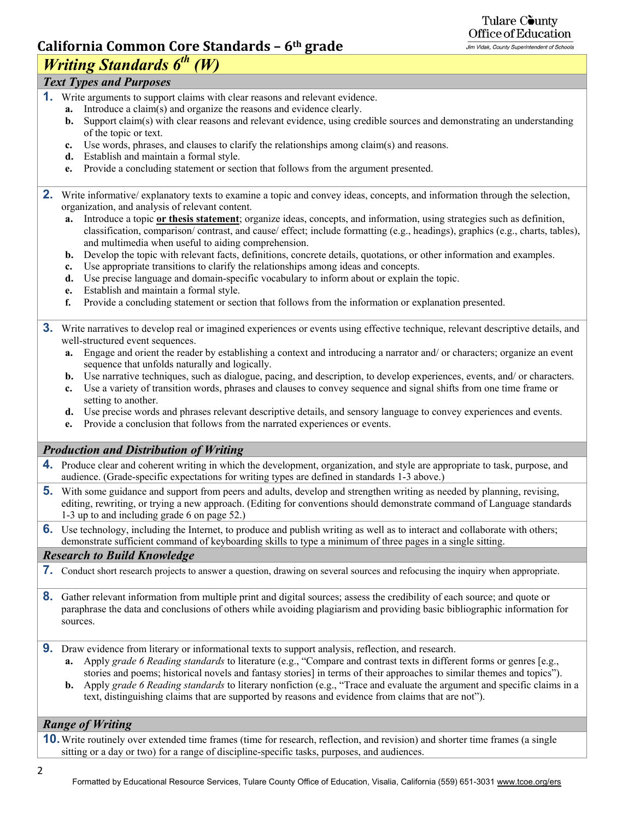#### Tulare County Office of Education Jim Vidak, County Superintendent of Schools

## **California Common Core Standards – 6th grade**

## *Writing Standards 6<sup>th</sup> (W)*

## *Text Types and Purposes*

- **1.** Write arguments to support claims with clear reasons and relevant evidence.
	- **a.** Introduce a claim(s) and organize the reasons and evidence clearly.
	- **b.** Support claim(s) with clear reasons and relevant evidence, using credible sources and demonstrating an understanding of the topic or text.
	- **c.** Use words, phrases, and clauses to clarify the relationships among claim(s) and reasons.
	- **d.** Establish and maintain a formal style.
	- **e.** Provide a concluding statement or section that follows from the argument presented.
- **2.** Write informative/ explanatory texts to examine a topic and convey ideas, concepts, and information through the selection, organization, and analysis of relevant content.
	- **a.** Introduce a topic **or thesis statement**; organize ideas, concepts, and information, using strategies such as definition, classification, comparison/ contrast, and cause/ effect; include formatting (e.g., headings), graphics (e.g., charts, tables), and multimedia when useful to aiding comprehension.
	- **b.** Develop the topic with relevant facts, definitions, concrete details, quotations, or other information and examples.
	- **c.** Use appropriate transitions to clarify the relationships among ideas and concepts.
	- **d.** Use precise language and domain-specific vocabulary to inform about or explain the topic.
	- **e.** Establish and maintain a formal style.
	- **f.** Provide a concluding statement or section that follows from the information or explanation presented.
- **3.** Write narratives to develop real or imagined experiences or events using effective technique, relevant descriptive details, and well-structured event sequences.
	- **a.** Engage and orient the reader by establishing a context and introducing a narrator and/ or characters; organize an event sequence that unfolds naturally and logically.
	- **b.** Use narrative techniques, such as dialogue, pacing, and description, to develop experiences, events, and/ or characters.
	- **c.** Use a variety of transition words, phrases and clauses to convey sequence and signal shifts from one time frame or setting to another.
	- **d.** Use precise words and phrases relevant descriptive details, and sensory language to convey experiences and events.
	- **e.** Provide a conclusion that follows from the narrated experiences or events.

## *Production and Distribution of Writing*

- **4.** Produce clear and coherent writing in which the development, organization, and style are appropriate to task, purpose, and audience. (Grade-specific expectations for writing types are defined in standards 1-3 above.)
- **5.** With some guidance and support from peers and adults, develop and strengthen writing as needed by planning, revising, editing, rewriting, or trying a new approach. (Editing for conventions should demonstrate command of Language standards 1-3 up to and including grade 6 on page 52.)
- **6.** Use technology, including the Internet, to produce and publish writing as well as to interact and collaborate with others; demonstrate sufficient command of keyboarding skills to type a minimum of three pages in a single sitting.

## *Research to Build Knowledge*

- **7.** Conduct short research projects to answer a question, drawing on several sources and refocusing the inquiry when appropriate.
- **8.** Gather relevant information from multiple print and digital sources; assess the credibility of each source; and quote or paraphrase the data and conclusions of others while avoiding plagiarism and providing basic bibliographic information for sources.
- **9.** Draw evidence from literary or informational texts to support analysis, reflection, and research.
	- **a.** Apply *grade 6 Reading standards* to literature (e.g., "Compare and contrast texts in different forms or genres [e.g., stories and poems; historical novels and fantasy stories] in terms of their approaches to similar themes and topics").
	- **b.** Apply *grade 6 Reading standards* to literary nonfiction (e.g., "Trace and evaluate the argument and specific claims in a text, distinguishing claims that are supported by reasons and evidence from claims that are not").

## *Range of Writing*

**10.** Write routinely over extended time frames (time for research, reflection, and revision) and shorter time frames (a single sitting or a day or two) for a range of discipline-specific tasks, purposes, and audiences.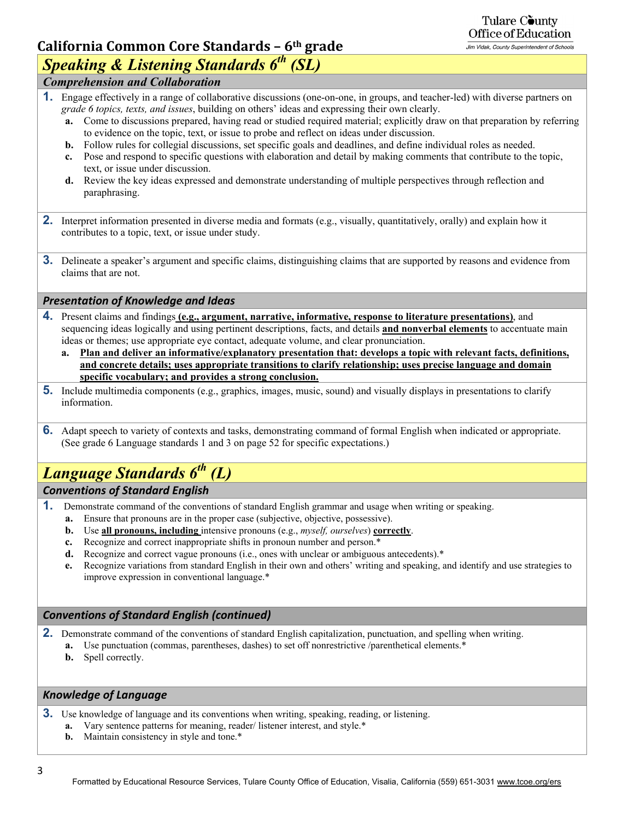## **California Common Core Standards – 6th grade**

## Tulare County Office of Education

Jim Vidak, County Superintendent of Schools

## *Speaking & Listening Standards 6th (SL)*

- *Comprehension and Collaboration*
- **1.** Engage effectively in a range of collaborative discussions (one-on-one, in groups, and teacher-led) with diverse partners on *grade 6 topics, texts, and issues*, building on others' ideas and expressing their own clearly.
	- **a.** Come to discussions prepared, having read or studied required material; explicitly draw on that preparation by referring to evidence on the topic, text, or issue to probe and reflect on ideas under discussion.
	- **b.** Follow rules for collegial discussions, set specific goals and deadlines, and define individual roles as needed.
	- **c.** Pose and respond to specific questions with elaboration and detail by making comments that contribute to the topic, text, or issue under discussion.
	- **d.** Review the key ideas expressed and demonstrate understanding of multiple perspectives through reflection and paraphrasing.
- **2.** Interpret information presented in diverse media and formats (e.g., visually, quantitatively, orally) and explain how it contributes to a topic, text, or issue under study.
- **3.** Delineate a speaker's argument and specific claims, distinguishing claims that are supported by reasons and evidence from claims that are not.

### *Presentation of Knowledge and Ideas*

- **4.** Present claims and findings **(e.g., argument, narrative, informative, response to literature presentations)**, and sequencing ideas logically and using pertinent descriptions, facts, and details **and nonverbal elements** to accentuate main ideas or themes; use appropriate eye contact, adequate volume, and clear pronunciation.
	- **a. Plan and deliver an informative/explanatory presentation that: develops a topic with relevant facts, definitions, and concrete details; uses appropriate transitions to clarify relationship; uses precise language and domain specific vocabulary; and provides a strong conclusion.**
- **5.** Include multimedia components (e.g., graphics, images, music, sound) and visually displays in presentations to clarify information.
- **6.** Adapt speech to variety of contexts and tasks, demonstrating command of formal English when indicated or appropriate. (See grade 6 Language standards 1 and 3 on page 52 for specific expectations.)

## *Language Standards 6th (L)*

### *Conventions of Standard English*

- **1.** Demonstrate command of the conventions of standard English grammar and usage when writing or speaking.
	- **a.** Ensure that pronouns are in the proper case (subjective, objective, possessive).
	- **b.** Use **all pronouns, including** intensive pronouns (e.g., *myself, ourselves*) **correctly**.
	- **c.** Recognize and correct inappropriate shifts in pronoun number and person.\*
	- **d.** Recognize and correct vague pronouns (i.e., ones with unclear or ambiguous antecedents).\*
	- **e.** Recognize variations from standard English in their own and others' writing and speaking, and identify and use strategies to improve expression in conventional language.\*

#### *Conventions of Standard English (continued)*

- **2.** Demonstrate command of the conventions of standard English capitalization, punctuation, and spelling when writing.
	- **a.** Use punctuation (commas, parentheses, dashes) to set off nonrestrictive /parenthetical elements.\*
	- **b.** Spell correctly.

### *Knowledge of Language*

- **3.** Use knowledge of language and its conventions when writing, speaking, reading, or listening.
	- **a.** Vary sentence patterns for meaning, reader/ listener interest, and style.\*
	- **b.** Maintain consistency in style and tone.\*